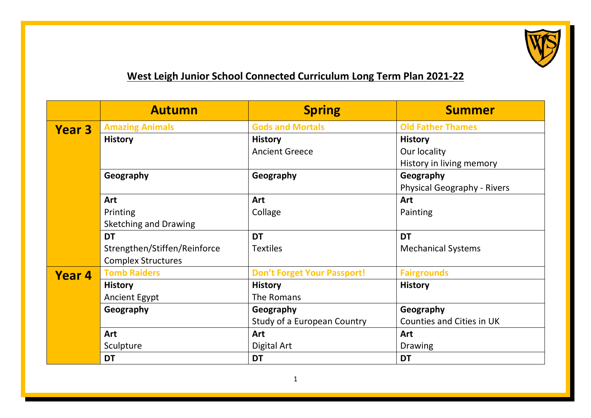

## **West Leigh Junior School Connected Curriculum Long Term Plan 2021-22**

|               | <b>Autumn</b>                | <b>Spring</b>                      | <b>Summer</b>                      |
|---------------|------------------------------|------------------------------------|------------------------------------|
| <b>Year 3</b> | <b>Amazing Animals</b>       | <b>Gods and Mortals</b>            | <b>Old Father Thames</b>           |
|               | <b>History</b>               | <b>History</b>                     | <b>History</b>                     |
|               |                              | <b>Ancient Greece</b>              | Our locality                       |
|               |                              |                                    | History in living memory           |
|               | Geography                    | Geography                          | Geography                          |
|               |                              |                                    | <b>Physical Geography - Rivers</b> |
|               | Art                          | Art                                | Art                                |
|               | Printing                     | Collage                            | Painting                           |
|               | <b>Sketching and Drawing</b> |                                    |                                    |
|               | <b>DT</b>                    | <b>DT</b>                          | <b>DT</b>                          |
|               | Strengthen/Stiffen/Reinforce | <b>Textiles</b>                    | <b>Mechanical Systems</b>          |
|               | <b>Complex Structures</b>    |                                    |                                    |
| Year 4        | <b>Tomb Raiders</b>          | <b>Don't Forget Your Passport!</b> | <b>Fairgrounds</b>                 |
|               | <b>History</b>               | <b>History</b>                     | <b>History</b>                     |
|               | <b>Ancient Egypt</b>         | The Romans                         |                                    |
|               | Geography                    | Geography                          | Geography                          |
|               |                              | Study of a European Country        | Counties and Cities in UK          |
|               | Art                          | Art                                | Art                                |
|               | Sculpture                    | Digital Art                        | <b>Drawing</b>                     |
|               | <b>DT</b>                    | <b>DT</b>                          | <b>DT</b>                          |